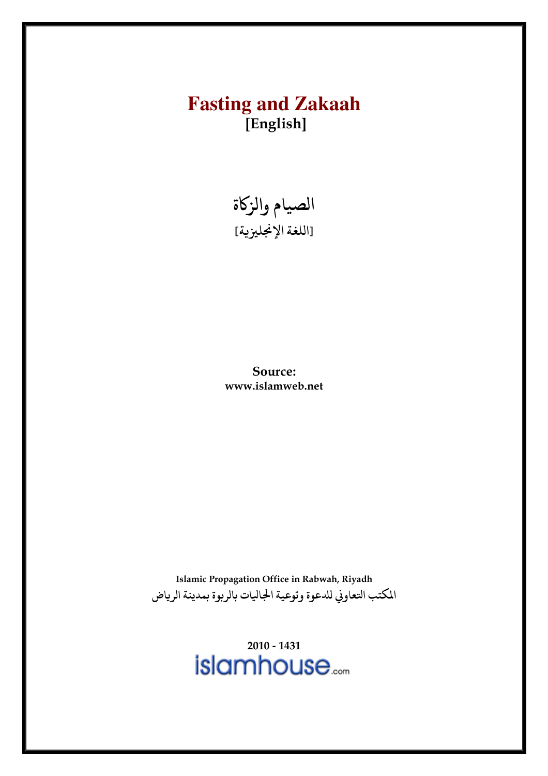# **Fasting and Zakaah** [English]



Source: www.islamweb.net

Islamic Propagation Office in Rabwah, Riyadh المكتب التعاوني للدعوة وتوعية الجاليات بالربوة بمدينة الرياض

 $2010 - 1431$ <br> $islamhouse$ ....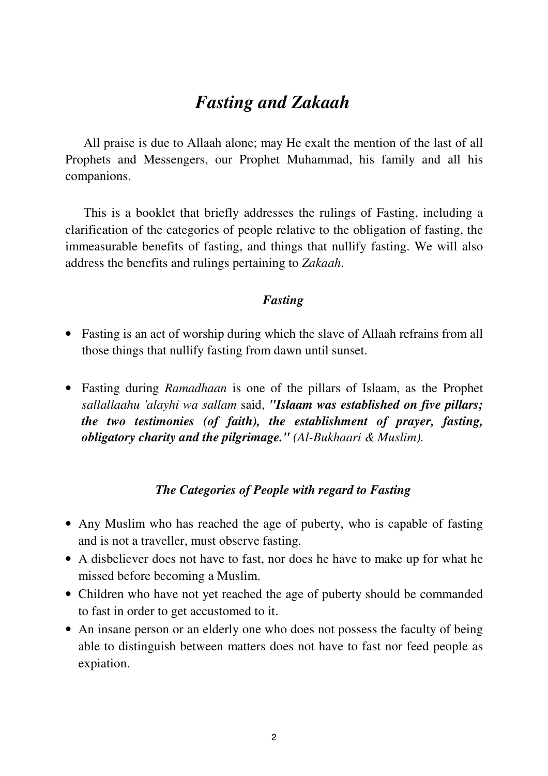# *Fasting and Zakaah*

All praise is due to Allaah alone; may He exalt the mention of the last of all Prophets and Messengers, our Prophet Muhammad, his family and all his companions.

This is a booklet that briefly addresses the rulings of Fasting, including a clarification of the categories of people relative to the obligation of fasting, the immeasurable benefits of fasting, and things that nullify fasting. We will also address the benefits and rulings pertaining to *Zakaah*.

## *Fasting*

- Fasting is an act of worship during which the slave of Allaah refrains from all those things that nullify fasting from dawn until sunset.
- Fasting during *Ramadhaan* is one of the pillars of Islaam, as the Prophet *sallallaahu 'alayhi wa sallam* said, *"Islaam was established on five pillars; the two testimonies (of faith), the establishment of prayer, fasting, obligatory charity and the pilgrimage." (Al-Bukhaari & Muslim).*

## *The Categories of People with regard to Fasting*

- Any Muslim who has reached the age of puberty, who is capable of fasting and is not a traveller, must observe fasting.
- A disbeliever does not have to fast, nor does he have to make up for what he missed before becoming a Muslim.
- Children who have not yet reached the age of puberty should be commanded to fast in order to get accustomed to it.
- An insane person or an elderly one who does not possess the faculty of being able to distinguish between matters does not have to fast nor feed people as expiation.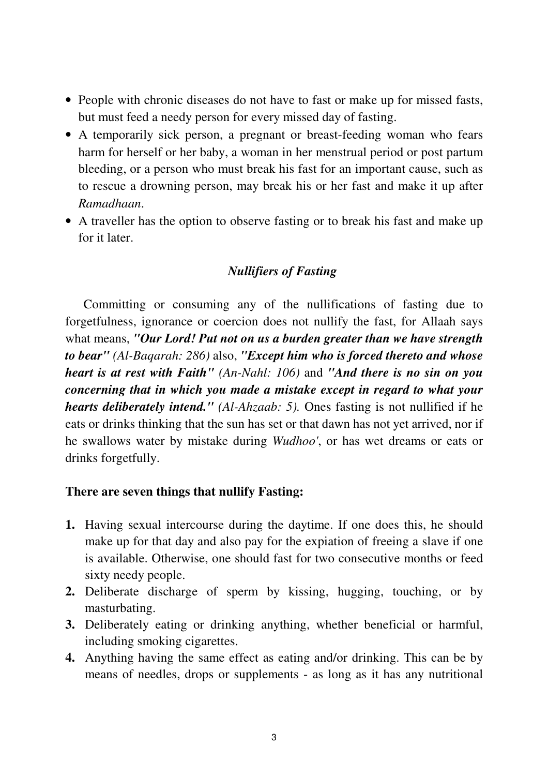- People with chronic diseases do not have to fast or make up for missed fasts, but must feed a needy person for every missed day of fasting.
- A temporarily sick person, a pregnant or breast-feeding woman who fears harm for herself or her baby, a woman in her menstrual period or post partum bleeding, or a person who must break his fast for an important cause, such as to rescue a drowning person, may break his or her fast and make it up after *Ramadhaan*.
- A traveller has the option to observe fasting or to break his fast and make up for it later.

## *Nullifiers of Fasting*

Committing or consuming any of the nullifications of fasting due to forgetfulness, ignorance or coercion does not nullify the fast, for Allaah says what means, *"Our Lord! Put not on us a burden greater than we have strength to bear" (Al-Baqarah: 286)* also, *"Except him who is forced thereto and whose heart is at rest with Faith" (An-Nahl: 106)* and *"And there is no sin on you concerning that in which you made a mistake except in regard to what your hearts deliberately intend." (Al-Ahzaab: 5).* Ones fasting is not nullified if he eats or drinks thinking that the sun has set or that dawn has not yet arrived, nor if he swallows water by mistake during *Wudhoo'*, or has wet dreams or eats or drinks forgetfully.

## **There are seven things that nullify Fasting:**

- **1.** Having sexual intercourse during the daytime. If one does this, he should make up for that day and also pay for the expiation of freeing a slave if one is available. Otherwise, one should fast for two consecutive months or feed sixty needy people.
- **2.** Deliberate discharge of sperm by kissing, hugging, touching, or by masturbating.
- **3.** Deliberately eating or drinking anything, whether beneficial or harmful, including smoking cigarettes.
- **4.** Anything having the same effect as eating and/or drinking. This can be by means of needles, drops or supplements - as long as it has any nutritional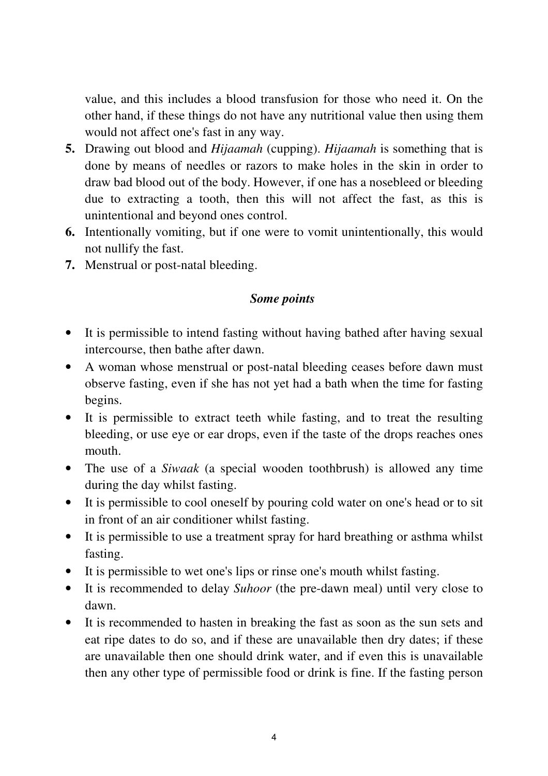value, and this includes a blood transfusion for those who need it. On the other hand, if these things do not have any nutritional value then using them would not affect one's fast in any way.

- **5.** Drawing out blood and *Hijaamah* (cupping). *Hijaamah* is something that is done by means of needles or razors to make holes in the skin in order to draw bad blood out of the body. However, if one has a nosebleed or bleeding due to extracting a tooth, then this will not affect the fast, as this is unintentional and beyond ones control.
- **6.** Intentionally vomiting, but if one were to vomit unintentionally, this would not nullify the fast.
- **7.** Menstrual or post-natal bleeding.

## *Some points*

- It is permissible to intend fasting without having bathed after having sexual intercourse, then bathe after dawn.
- A woman whose menstrual or post-natal bleeding ceases before dawn must observe fasting, even if she has not yet had a bath when the time for fasting begins.
- It is permissible to extract teeth while fasting, and to treat the resulting bleeding, or use eye or ear drops, even if the taste of the drops reaches ones mouth.
- The use of a *Siwaak* (a special wooden toothbrush) is allowed any time during the day whilst fasting.
- It is permissible to cool oneself by pouring cold water on one's head or to sit in front of an air conditioner whilst fasting.
- It is permissible to use a treatment spray for hard breathing or asthma whilst fasting.
- It is permissible to wet one's lips or rinse one's mouth whilst fasting.
- It is recommended to delay *Suhoor* (the pre-dawn meal) until very close to dawn.
- It is recommended to hasten in breaking the fast as soon as the sun sets and eat ripe dates to do so, and if these are unavailable then dry dates; if these are unavailable then one should drink water, and if even this is unavailable then any other type of permissible food or drink is fine. If the fasting person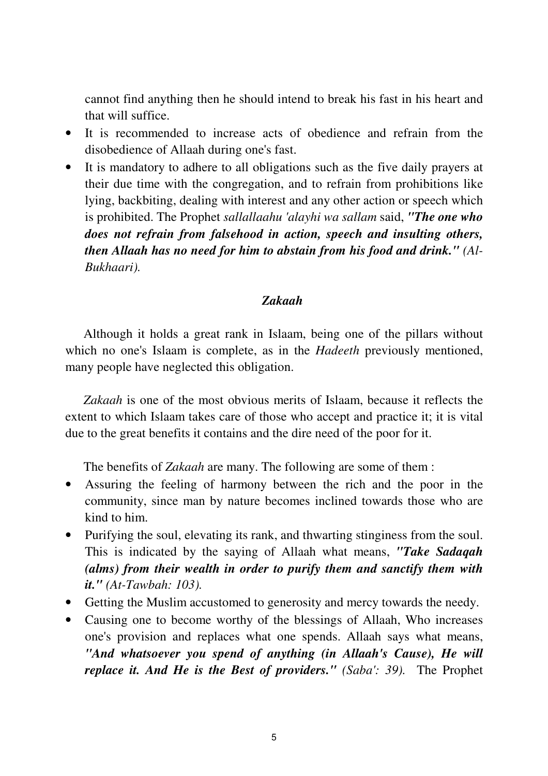cannot find anything then he should intend to break his fast in his heart and that will suffice.

- It is recommended to increase acts of obedience and refrain from the disobedience of Allaah during one's fast.
- It is mandatory to adhere to all obligations such as the five daily prayers at their due time with the congregation, and to refrain from prohibitions like lying, backbiting, dealing with interest and any other action or speech which is prohibited. The Prophet *sallallaahu 'alayhi wa sallam* said, *"The one who does not refrain from falsehood in action, speech and insulting others, then Allaah has no need for him to abstain from his food and drink." (Al-Bukhaari).*

## *Zakaah*

Although it holds a great rank in Islaam, being one of the pillars without which no one's Islaam is complete, as in the *Hadeeth* previously mentioned, many people have neglected this obligation.

*Zakaah* is one of the most obvious merits of Islaam, because it reflects the extent to which Islaam takes care of those who accept and practice it; it is vital due to the great benefits it contains and the dire need of the poor for it.

The benefits of *Zakaah* are many. The following are some of them :

- Assuring the feeling of harmony between the rich and the poor in the community, since man by nature becomes inclined towards those who are kind to him.
- Purifying the soul, elevating its rank, and thwarting stinginess from the soul. This is indicated by the saying of Allaah what means, *"Take Sadaqah (alms) from their wealth in order to purify them and sanctify them with it." (At-Tawbah: 103).*
- Getting the Muslim accustomed to generosity and mercy towards the needy.
- Causing one to become worthy of the blessings of Allaah, Who increases one's provision and replaces what one spends. Allaah says what means, *"And whatsoever you spend of anything (in Allaah's Cause), He will replace it. And He is the Best of providers." (Saba': 39).* The Prophet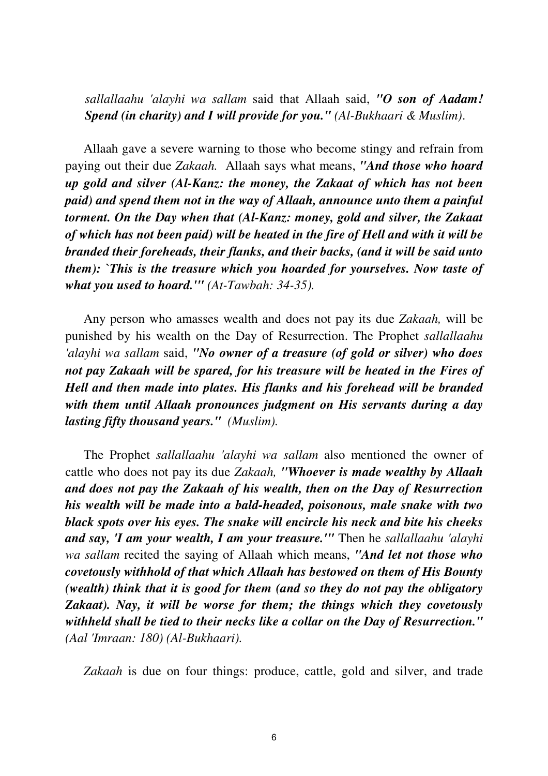*sallallaahu 'alayhi wa sallam* said that Allaah said, *"O son of Aadam! Spend (in charity) and I will provide for you." (Al-Bukhaari & Muslim)*.

Allaah gave a severe warning to those who become stingy and refrain from paying out their due *Zakaah.* Allaah says what means, *"And those who hoard up gold and silver (Al-Kanz: the money, the Zakaat of which has not been paid) and spend them not in the way of Allaah, announce unto them a painful torment. On the Day when that (Al-Kanz: money, gold and silver, the Zakaat of which has not been paid) will be heated in the fire of Hell and with it will be branded their foreheads, their flanks, and their backs, (and it will be said unto them): `This is the treasure which you hoarded for yourselves. Now taste of what you used to hoard.'" (At-Tawbah: 34-35).*

Any person who amasses wealth and does not pay its due *Zakaah,* will be punished by his wealth on the Day of Resurrection. The Prophet *sallallaahu 'alayhi wa sallam* said, *"No owner of a treasure (of gold or silver) who does not pay Zakaah will be spared, for his treasure will be heated in the Fires of Hell and then made into plates. His flanks and his forehead will be branded with them until Allaah pronounces judgment on His servants during a day lasting fifty thousand years." (Muslim).* 

The Prophet *sallallaahu 'alayhi wa sallam* also mentioned the owner of cattle who does not pay its due *Zakaah, "Whoever is made wealthy by Allaah and does not pay the Zakaah of his wealth, then on the Day of Resurrection his wealth will be made into a bald-headed, poisonous, male snake with two black spots over his eyes. The snake will encircle his neck and bite his cheeks and say, 'I am your wealth, I am your treasure.'"* Then he *sallallaahu 'alayhi wa sallam* recited the saying of Allaah which means, *"And let not those who covetously withhold of that which Allaah has bestowed on them of His Bounty (wealth) think that it is good for them (and so they do not pay the obligatory Zakaat). Nay, it will be worse for them; the things which they covetously withheld shall be tied to their necks like a collar on the Day of Resurrection." (Aal 'Imraan: 180) (Al-Bukhaari).* 

*Zakaah* is due on four things: produce, cattle, gold and silver, and trade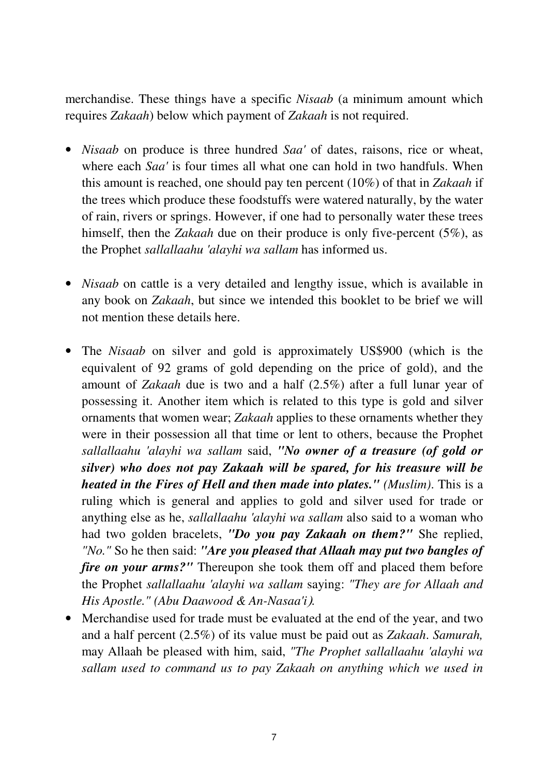merchandise. These things have a specific *Nisaab* (a minimum amount which requires *Zakaah*) below which payment of *Zakaah* is not required.

- *Nisaab* on produce is three hundred *Saa'* of dates, raisons, rice or wheat, where each *Saa'* is four times all what one can hold in two handfuls. When this amount is reached, one should pay ten percent (10%) of that in *Zakaah* if the trees which produce these foodstuffs were watered naturally, by the water of rain, rivers or springs. However, if one had to personally water these trees himself, then the *Zakaah* due on their produce is only five-percent (5%), as the Prophet *sallallaahu 'alayhi wa sallam* has informed us.
- *Nisaab* on cattle is a very detailed and lengthy issue, which is available in any book on *Zakaah*, but since we intended this booklet to be brief we will not mention these details here.
- The *Nisaab* on silver and gold is approximately US\$900 (which is the equivalent of 92 grams of gold depending on the price of gold), and the amount of *Zakaah* due is two and a half (2.5%) after a full lunar year of possessing it. Another item which is related to this type is gold and silver ornaments that women wear; *Zakaah* applies to these ornaments whether they were in their possession all that time or lent to others, because the Prophet *sallallaahu 'alayhi wa sallam* said, *"No owner of a treasure (of gold or silver) who does not pay Zakaah will be spared, for his treasure will be heated in the Fires of Hell and then made into plates." (Muslim)*. This is a ruling which is general and applies to gold and silver used for trade or anything else as he, *sallallaahu 'alayhi wa sallam* also said to a woman who had two golden bracelets, *"Do you pay Zakaah on them?"* She replied, *"No."* So he then said: *"Are you pleased that Allaah may put two bangles of fire on your arms?"* Thereupon she took them off and placed them before the Prophet *sallallaahu 'alayhi wa sallam* saying: *"They are for Allaah and His Apostle." (Abu Daawood & An-Nasaa'i*).
- Merchandise used for trade must be evaluated at the end of the year, and two and a half percent (2.5%) of its value must be paid out as *Zakaah*. *Samurah,*  may Allaah be pleased with him, said, *"The Prophet sallallaahu 'alayhi wa sallam used to command us to pay Zakaah on anything which we used in*